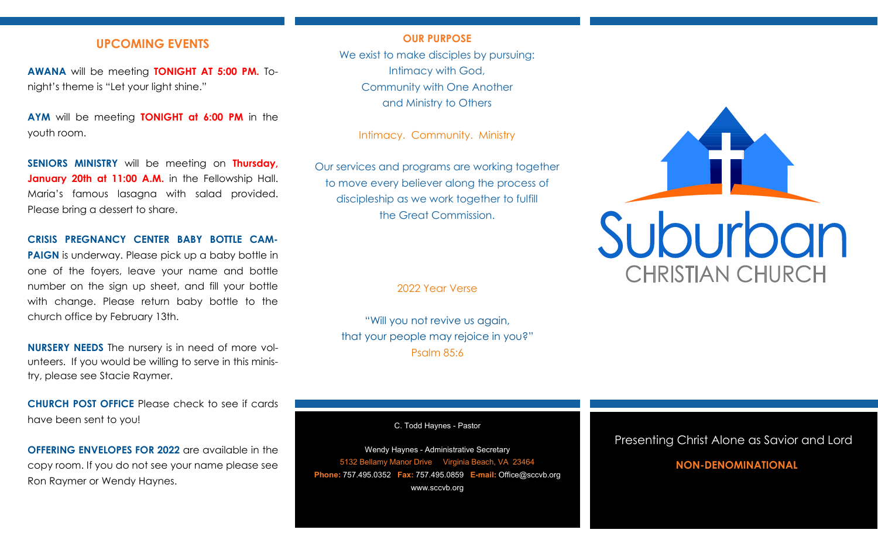## **UPCOMING EVENTS**

**AWANA** will be meeting **TONIGHT AT 5:00 PM.** Tonight's theme is "Let your light shine."

**AYM** will be meeting **TONIGHT at 6:00 PM** in the youth room.

**SENIORS MINISTRY** will be meeting on **Thursday,**  January 20th at 11:00 A.M. in the Fellowship Hall. Maria's famous lasagna with salad provided. Please bring a dessert to share.

#### **CRISIS PREGNANCY CENTER BABY BOTTLE CAM-**

**PAIGN** is underway. Please pick up a baby bottle in one of the foyers, leave your name and bottle number on the sign up sheet, and fill your bottle with change. Please return baby bottle to the church office by February 13th.

**NURSERY NEEDS** The nursery is in need of more volunteers. If you would be willing to serve in this ministry, please see Stacie Raymer.

**CHURCH POST OFFICE** Please check to see if cards have been sent to you!

**OFFERING ENVELOPES FOR 2022** are available in the copy room. If you do not see your name please see Ron Raymer or Wendy Haynes.

#### **OUR PURPOSE**

We exist to make disciples by pursuing: Intimacy with God, Community with One Another and Ministry to Others

Intimacy. Community. Ministry

Our services and programs are working together to move every believer along the process of discipleship as we work together to fulfill the Great Commission.

2022 Year Verse

"Will you not revive us again, that your people may rejoice in you?" Psalm 85:6

C. Todd Haynes - Pastor

Wendy Haynes - Administrative Secretary 5132 Bellamy Manor Drive Virginia Beach, VA 23464 **Phone:** 757.495.0352 **Fax:** 757.495.0859 **E-mail:** Office@sccvb.org www.sccvb.org



### Presenting Christ Alone as Savior and Lord

## **NON-DENOMINATIONAL**